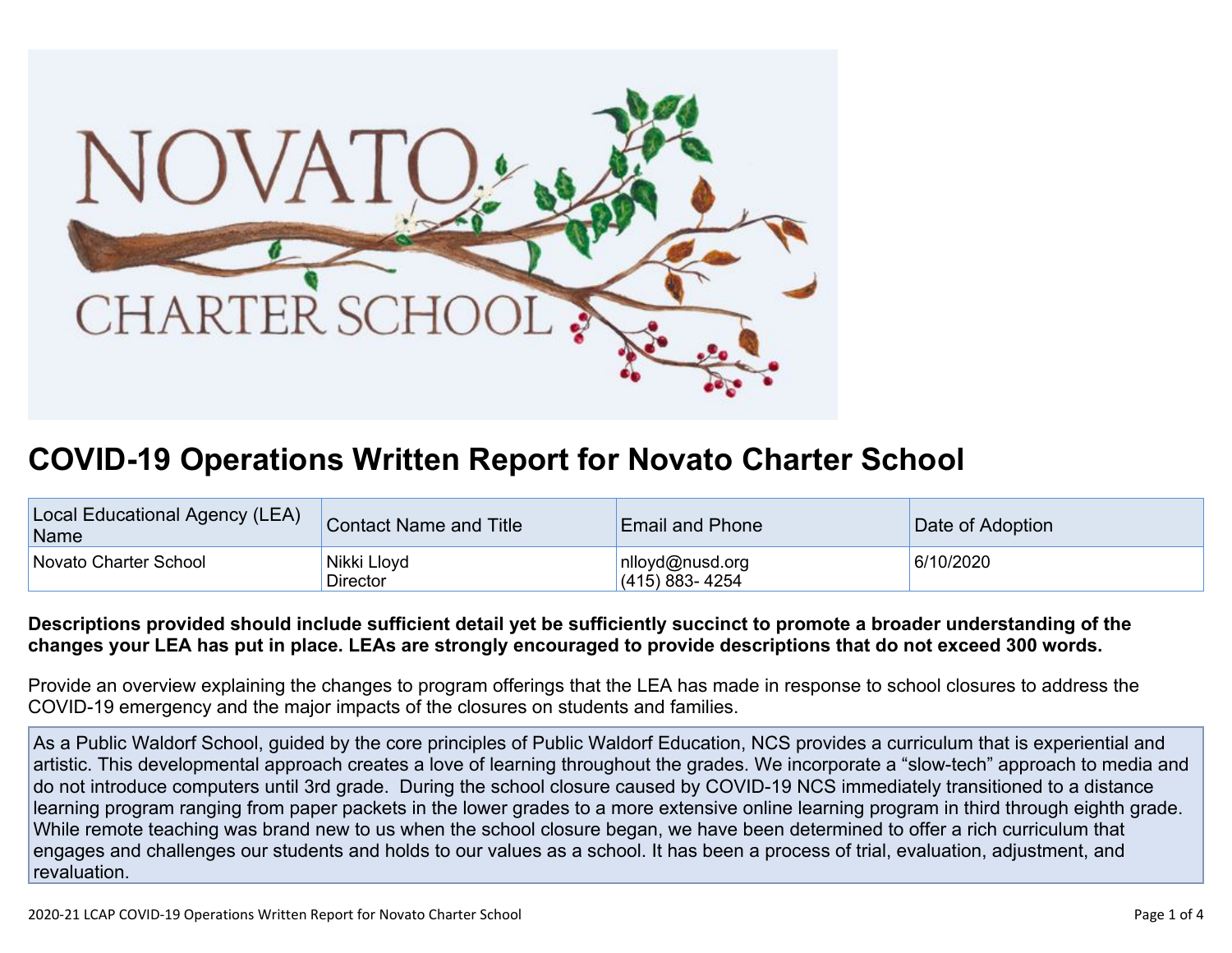

## **COVID-19 Operations Written Report for Novato Charter School**

| Local Educational Agency (LEA)<br>Name | Contact Name and Title         | <b>Email and Phone</b>            | Date of Adoption |
|----------------------------------------|--------------------------------|-----------------------------------|------------------|
| Novato Charter School                  | Nikki Lloyd<br><b>Director</b> | nlloyd@nusd.org<br>(415) 883-4254 | 6/10/2020        |

## Descriptions provided should include sufficient detail yet be sufficiently succinct to promote a broader understanding of the changes your LEA has put in place. LEAs are strongly encouraged to provide descriptions that do not exceed 300 words.

Provide an overview explaining the changes to program offerings that the LEA has made in response to school closures to address the COVID-19 emergency and the major impacts of the closures on students and families.

As a Public Waldorf School, guided by the core principles of Public Waldorf Education, NCS provides a curriculum that is experiential and artistic. This developmental approach creates a love of learning throughout the grades. We incorporate a "slow-tech" approach to media and do not introduce computers until 3rd grade. During the school closure caused by COVID-19 NCS immediately transitioned to a distance learning program ranging from paper packets in the lower grades to a more extensive online learning program in third through eighth grade. While remote teaching was brand new to us when the school closure began, we have been determined to offer a rich curriculum that engages and challenges our students and holds to our values as a school. It has been a process of trial, evaluation, adjustment, and revaluation.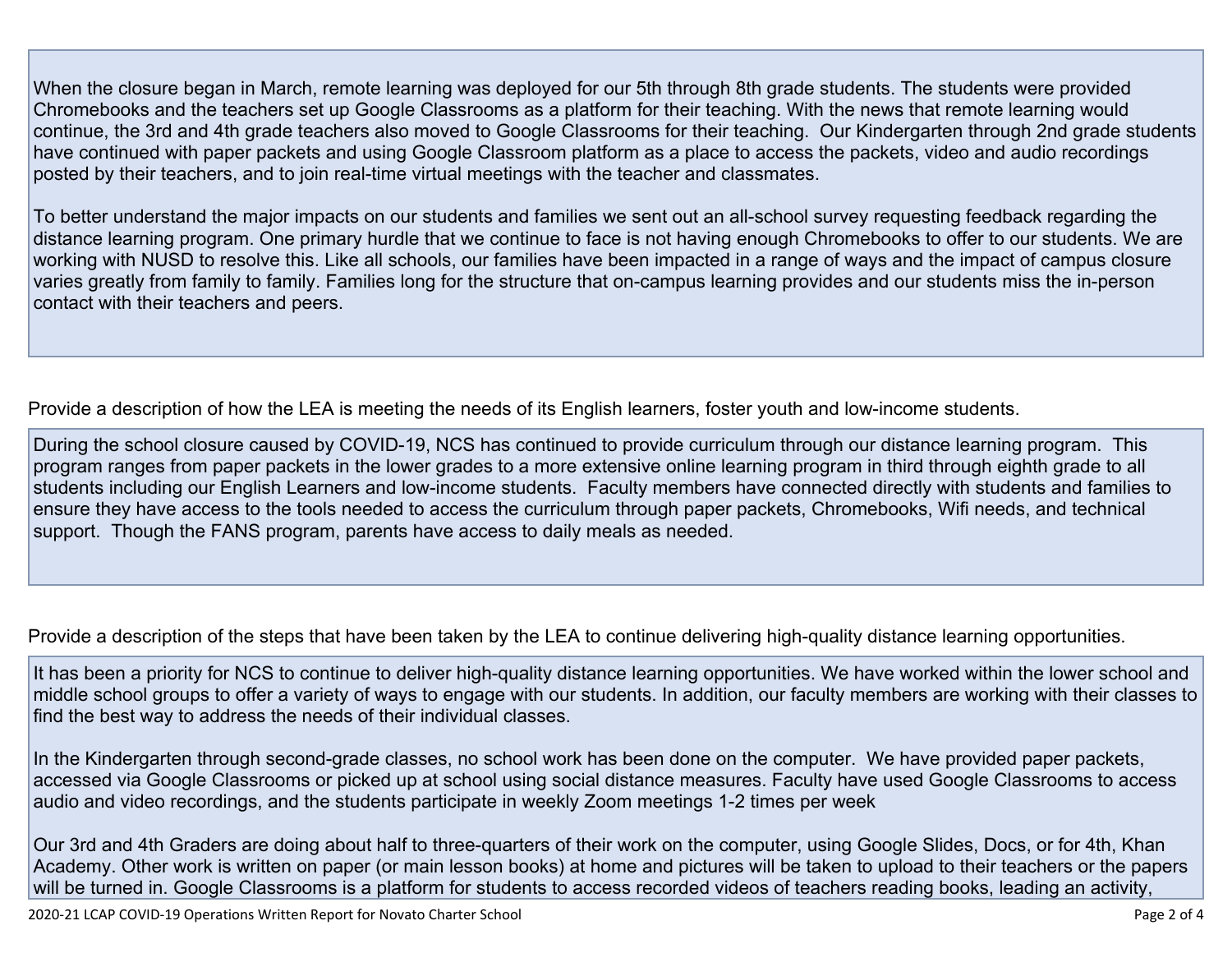When the closure began in March, remote learning was deployed for our 5th through 8th grade students. The students were provided Chromebooks and the teachers set up Google Classrooms as a platform for their teaching. With the news that remote learning would continue, the 3rd and 4th grade teachers also moved to Google Classrooms for their teaching. Our Kindergarten through 2nd grade students have continued with paper packets and using Google Classroom platform as a place to access the packets, video and audio recordings posted by their teachers, and to join real-time virtual meetings with the teacher and classmates.

To better understand the major impacts on our students and families we sent out an all-school survey requesting feedback regarding the distance learning program. One primary hurdle that we continue to face is not having enough Chromebooks to offer to our students. We are working with NUSD to resolve this. Like all schools, our families have been impacted in a range of ways and the impact of campus closure varies greatly from family to family. Families long for the structure that on-campus learning provides and our students miss the in-person contact with their teachers and peers.

Provide a description of how the LEA is meeting the needs of its English learners, foster youth and low-income students.

During the school closure caused by COVID-19, NCS has continued to provide curriculum through our distance learning program. This program ranges from paper packets in the lower grades to a more extensive online learning program in third through eighth grade to all students including our English Learners and low-income students. Faculty members have connected directly with students and families to ensure they have access to the tools needed to access the curriculum through paper packets, Chromebooks, Wifi needs, and technical support. Though the FANS program, parents have access to daily meals as needed.

Provide a description of the steps that have been taken by the LEA to continue delivering high-quality distance learning opportunities.

It has been a priority for NCS to continue to deliver high-quality distance learning opportunities. We have worked within the lower school and middle school groups to offer a variety of ways to engage with our students. In addition, our faculty members are working with their classes to find the best way to address the needs of their individual classes.

In the Kindergarten through second-grade classes, no school work has been done on the computer. We have provided paper packets, accessed via Google Classrooms or picked up at school using social distance measures. Faculty have used Google Classrooms to access audio and video recordings, and the students participate in weekly Zoom meetings 1-2 times per week

Our 3rd and 4th Graders are doing about half to three-quarters of their work on the computer, using Google Slides, Docs, or for 4th, Khan Academy. Other work is written on paper (or main lesson books) at home and pictures will be taken to upload to their teachers or the papers will be turned in. Google Classrooms is a platform for students to access recorded videos of teachers reading books, leading an activity,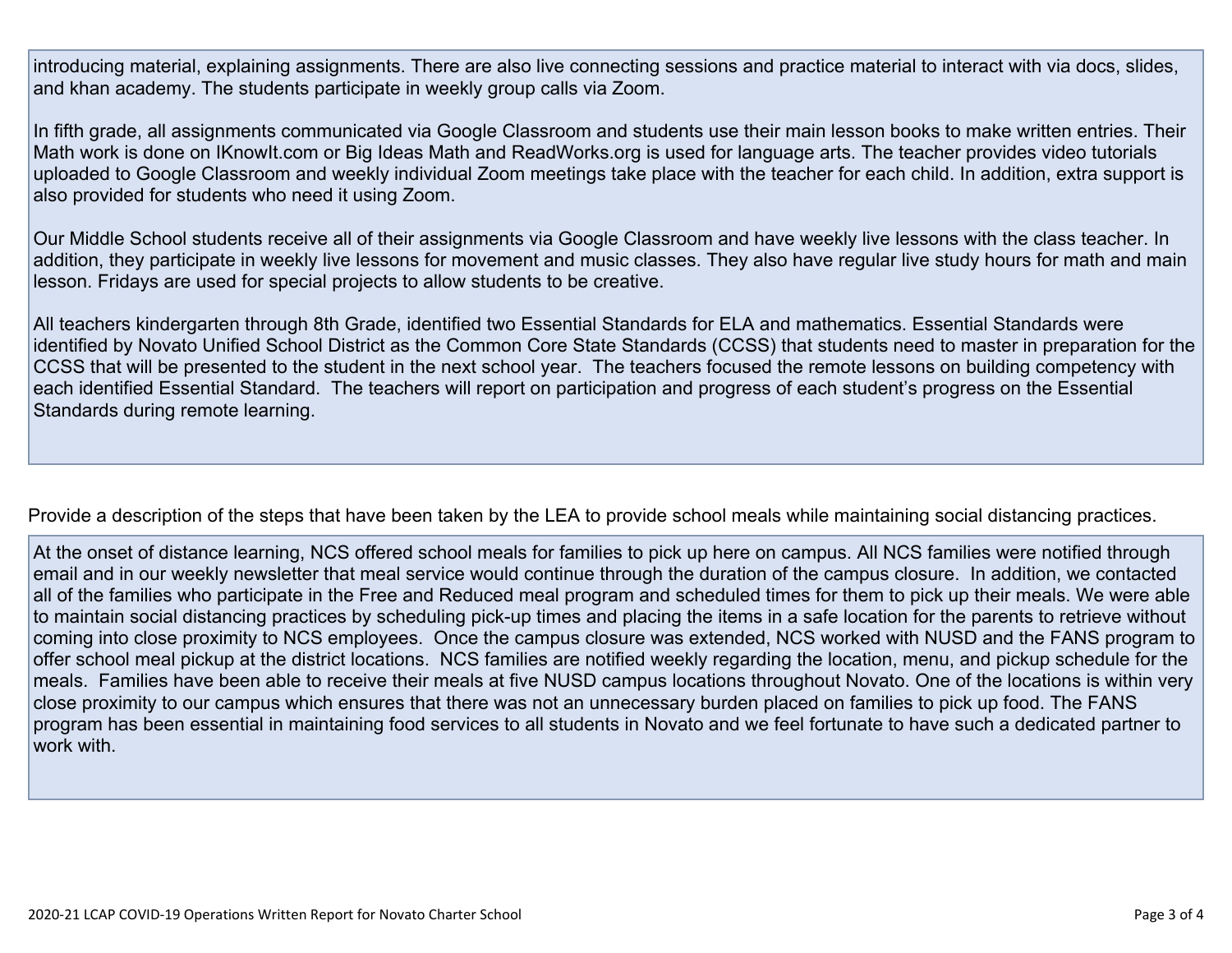introducing material, explaining assignments. There are also live connecting sessions and practice material to interact with via docs, slides, and khan academy. The students participate in weekly group calls via Zoom.

In fifth grade, all assignments communicated via Google Classroom and students use their main lesson books to make written entries. Their Math work is done on IKnowIt.com or Big Ideas Math and ReadWorks.org is used for language arts. The teacher provides video tutorials uploaded to Google Classroom and weekly individual Zoom meetings take place with the teacher for each child. In addition, extra support is also provided for students who need it using Zoom.

Our Middle School students receive all of their assignments via Google Classroom and have weekly live lessons with the class teacher. In addition, they participate in weekly live lessons for movement and music classes. They also have regular live study hours for math and main lesson. Fridays are used for special projects to allow students to be creative.

All teachers kindergarten through 8th Grade, identified two Essential Standards for ELA and mathematics. Essential Standards were identified by Novato Unified School District as the Common Core State Standards (CCSS) that students need to master in preparation for the CCSS that will be presented to the student in the next school year. The teachers focused the remote lessons on building competency with each identified Essential Standard. The teachers will report on participation and progress of each student's progress on the Essential Standards during remote learning.

Provide a description of the steps that have been taken by the LEA to provide school meals while maintaining social distancing practices.

At the onset of distance learning, NCS offered school meals for families to pick up here on campus. All NCS families were notified through email and in our weekly newsletter that meal service would continue through the duration of the campus closure. In addition, we contacted all of the families who participate in the Free and Reduced meal program and scheduled times for them to pick up their meals. We were able to maintain social distancing practices by scheduling pick-up times and placing the items in a safe location for the parents to retrieve without coming into close proximity to NCS employees. Once the campus closure was extended, NCS worked with NUSD and the FANS program to offer school meal pickup at the district locations. NCS families are notified weekly regarding the location, menu, and pickup schedule for the meals. Families have been able to receive their meals at five NUSD campus locations throughout Novato. One of the locations is within very close proximity to our campus which ensures that there was not an unnecessary burden placed on families to pick up food. The FANS program has been essential in maintaining food services to all students in Novato and we feel fortunate to have such a dedicated partner to work with